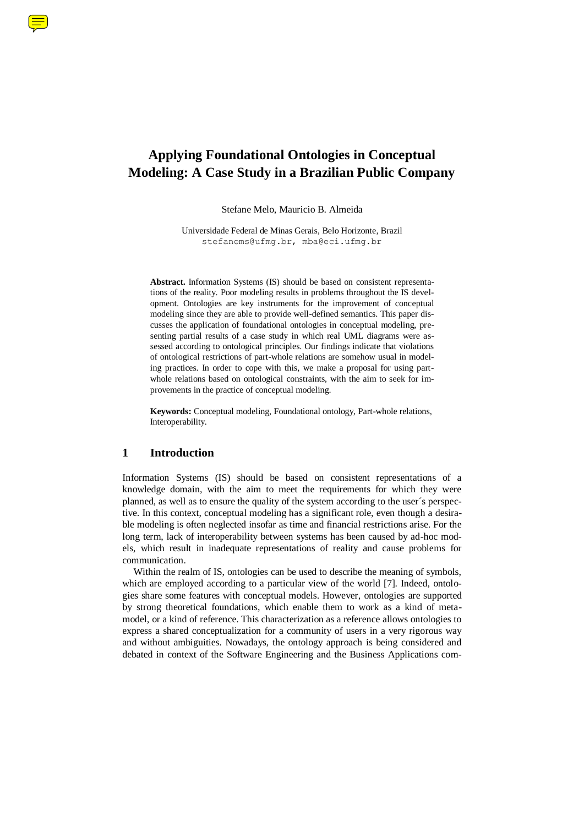# **Applying Foundational Ontologies in Conceptual Modeling: A Case Study in a Brazilian Public Company**

Stefane Melo, Mauricio B. Almeida

Universidade Federal de Minas Gerais, Belo Horizonte, Brazil stefanems@ufmg.br, mba@eci.ufmg.br

**Abstract.** Information Systems (IS) should be based on consistent representations of the reality. Poor modeling results in problems throughout the IS development. Ontologies are key instruments for the improvement of conceptual modeling since they are able to provide well-defined semantics. This paper discusses the application of foundational ontologies in conceptual modeling, presenting partial results of a case study in which real UML diagrams were assessed according to ontological principles. Our findings indicate that violations of ontological restrictions of part-whole relations are somehow usual in modeling practices. In order to cope with this, we make a proposal for using partwhole relations based on ontological constraints, with the aim to seek for improvements in the practice of conceptual modeling.

**Keywords:** Conceptual modeling, Foundational ontology, Part-whole relations, Interoperability.

## **1 Introduction**

Information Systems (IS) should be based on consistent representations of a knowledge domain, with the aim to meet the requirements for which they were planned, as well as to ensure the quality of the system according to the user´s perspective. In this context, conceptual modeling has a significant role, even though a desirable modeling is often neglected insofar as time and financial restrictions arise. For the long term, lack of interoperability between systems has been caused by ad-hoc models, which result in inadequate representations of reality and cause problems for communication.

Within the realm of IS, ontologies can be used to describe the meaning of symbols, which are employed according to a particular view of the world [7]. Indeed, ontologies share some features with conceptual models. However, ontologies are supported by strong theoretical foundations, which enable them to work as a kind of metamodel, or a kind of reference. This characterization as a reference allows ontologies to express a shared conceptualization for a community of users in a very rigorous way and without ambiguities. Nowadays, the ontology approach is being considered and debated in context of the Software Engineering and the Business Applications com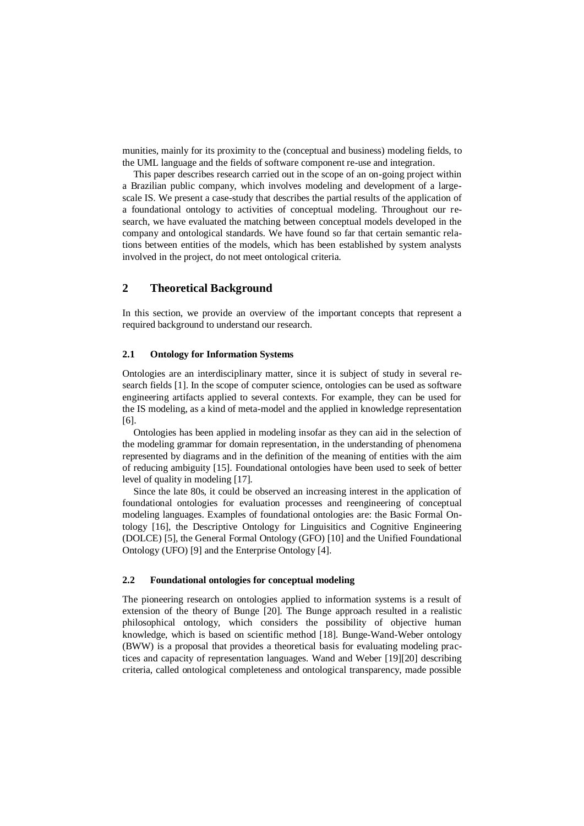munities, mainly for its proximity to the (conceptual and business) modeling fields, to the UML language and the fields of software component re-use and integration.

This paper describes research carried out in the scope of an on-going project within a Brazilian public company, which involves modeling and development of a largescale IS. We present a case-study that describes the partial results of the application of a foundational ontology to activities of conceptual modeling. Throughout our research, we have evaluated the matching between conceptual models developed in the company and ontological standards. We have found so far that certain semantic relations between entities of the models, which has been established by system analysts involved in the project, do not meet ontological criteria.

## **2 Theoretical Background**

In this section, we provide an overview of the important concepts that represent a required background to understand our research.

#### **2.1 Ontology for Information Systems**

Ontologies are an interdisciplinary matter, since it is subject of study in several research fields [1]. In the scope of computer science, ontologies can be used as software engineering artifacts applied to several contexts. For example, they can be used for the IS modeling, as a kind of meta-model and the applied in knowledge representation [6].

Ontologies has been applied in modeling insofar as they can aid in the selection of the modeling grammar for domain representation, in the understanding of phenomena represented by diagrams and in the definition of the meaning of entities with the aim of reducing ambiguity [15]. Foundational ontologies have been used to seek of better level of quality in modeling [17].

Since the late 80s, it could be observed an increasing interest in the application of foundational ontologies for evaluation processes and reengineering of conceptual modeling languages. Examples of foundational ontologies are: the Basic Formal Ontology [16], the Descriptive Ontology for Linguisitics and Cognitive Engineering (DOLCE) [5], the General Formal Ontology (GFO) [10] and the Unified Foundational Ontology (UFO) [9] and the Enterprise Ontology [4].

#### **2.2 Foundational ontologies for conceptual modeling**

The pioneering research on ontologies applied to information systems is a result of extension of the theory of Bunge [20]. The Bunge approach resulted in a realistic philosophical ontology, which considers the possibility of objective human knowledge, which is based on scientific method [18]. Bunge-Wand-Weber ontology (BWW) is a proposal that provides a theoretical basis for evaluating modeling practices and capacity of representation languages. Wand and Weber [19][20] describing criteria, called ontological completeness and ontological transparency, made possible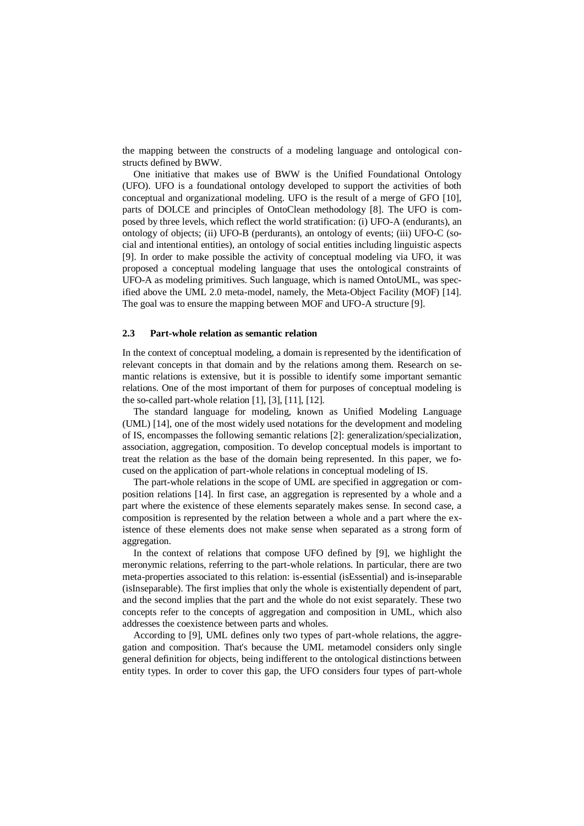the mapping between the constructs of a modeling language and ontological constructs defined by BWW.

One initiative that makes use of BWW is the Unified Foundational Ontology (UFO). UFO is a foundational ontology developed to support the activities of both conceptual and organizational modeling. UFO is the result of a merge of GFO [10], parts of DOLCE and principles of OntoClean methodology [8]. The UFO is composed by three levels, which reflect the world stratification: (i) UFO-A (endurants), an ontology of objects; (ii) UFO-B (perdurants), an ontology of events; (iii) UFO-C (social and intentional entities), an ontology of social entities including linguistic aspects [9]. In order to make possible the activity of conceptual modeling via UFO, it was proposed a conceptual modeling language that uses the ontological constraints of UFO-A as modeling primitives. Such language, which is named OntoUML, was specified above the UML 2.0 meta-model, namely, the Meta-Object Facility (MOF) [14]. The goal was to ensure the mapping between MOF and UFO-A structure [9].

#### **2.3 Part-whole relation as semantic relation**

In the context of conceptual modeling, a domain is represented by the identification of relevant concepts in that domain and by the relations among them. Research on semantic relations is extensive, but it is possible to identify some important semantic relations. One of the most important of them for purposes of conceptual modeling is the so-called part-whole relation [1], [3], [11], [12].

The standard language for modeling, known as Unified Modeling Language (UML) [14], one of the most widely used notations for the development and modeling of IS, encompasses the following semantic relations [2]: generalization/specialization, association, aggregation, composition. To develop conceptual models is important to treat the relation as the base of the domain being represented. In this paper, we focused on the application of part-whole relations in conceptual modeling of IS.

The part-whole relations in the scope of UML are specified in aggregation or composition relations [14]. In first case, an aggregation is represented by a whole and a part where the existence of these elements separately makes sense. In second case, a composition is represented by the relation between a whole and a part where the existence of these elements does not make sense when separated as a strong form of aggregation.

In the context of relations that compose UFO defined by [9], we highlight the meronymic relations, referring to the part-whole relations. In particular, there are two meta-properties associated to this relation: is-essential (isEssential) and is-inseparable (isInseparable). The first implies that only the whole is existentially dependent of part, and the second implies that the part and the whole do not exist separately. These two concepts refer to the concepts of aggregation and composition in UML, which also addresses the coexistence between parts and wholes.

According to [9], UML defines only two types of part-whole relations, the aggregation and composition. That's because the UML metamodel considers only single general definition for objects, being indifferent to the ontological distinctions between entity types. In order to cover this gap, the UFO considers four types of part-whole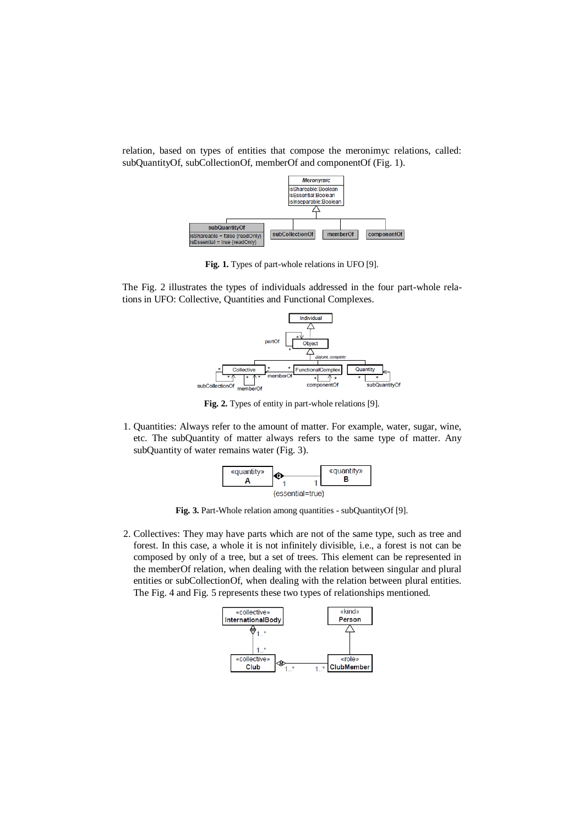relation, based on types of entities that compose the meronimyc relations, called: subQuantityOf, subCollectionOf, memberOf and componentOf (Fig. 1).



**Fig. 1.** Types of part-whole relations in UFO [9].

The Fig. 2 illustrates the types of individuals addressed in the four part-whole relations in UFO: Collective, Quantities and Functional Complexes.



**Fig. 2.** Types of entity in part-whole relations [9].

1. Quantities: Always refer to the amount of matter. For example, water, sugar, wine, etc. The subQuantity of matter always refers to the same type of matter. Any subQuantity of water remains water (Fig. 3).



**Fig. 3.** Part-Whole relation among quantities - subQuantityOf [9].

2. Collectives: They may have parts which are not of the same type, such as tree and forest. In this case, a whole it is not infinitely divisible, i.e., a forest is not can be composed by only of a tree, but a set of trees. This element can be represented in the memberOf relation, when dealing with the relation between singular and plural entities or subCollectionOf, when dealing with the relation between plural entities. The Fig. 4 and Fig. 5 represents these two types of relationships mentioned.

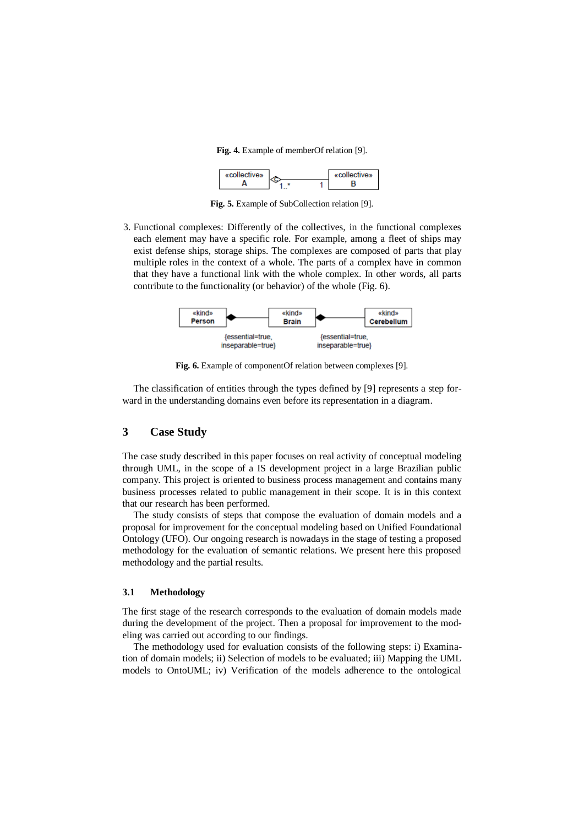**Fig. 4.** Example of memberOf relation [9].



**Fig. 5.** Example of SubCollection relation [9].

3. Functional complexes: Differently of the collectives, in the functional complexes each element may have a specific role. For example, among a fleet of ships may exist defense ships, storage ships. The complexes are composed of parts that play multiple roles in the context of a whole. The parts of a complex have in common that they have a functional link with the whole complex. In other words, all parts contribute to the functionality (or behavior) of the whole (Fig. 6).



**Fig. 6.** Example of componentOf relation between complexes [9].

The classification of entities through the types defined by [9] represents a step forward in the understanding domains even before its representation in a diagram.

## **3 Case Study**

The case study described in this paper focuses on real activity of conceptual modeling through UML, in the scope of a IS development project in a large Brazilian public company. This project is oriented to business process management and contains many business processes related to public management in their scope. It is in this context that our research has been performed.

The study consists of steps that compose the evaluation of domain models and a proposal for improvement for the conceptual modeling based on Unified Foundational Ontology (UFO). Our ongoing research is nowadays in the stage of testing a proposed methodology for the evaluation of semantic relations. We present here this proposed methodology and the partial results.

#### **3.1 Methodology**

The first stage of the research corresponds to the evaluation of domain models made during the development of the project. Then a proposal for improvement to the modeling was carried out according to our findings.

The methodology used for evaluation consists of the following steps: i) Examination of domain models; ii) Selection of models to be evaluated; iii) Mapping the UML models to OntoUML; iv) Verification of the models adherence to the ontological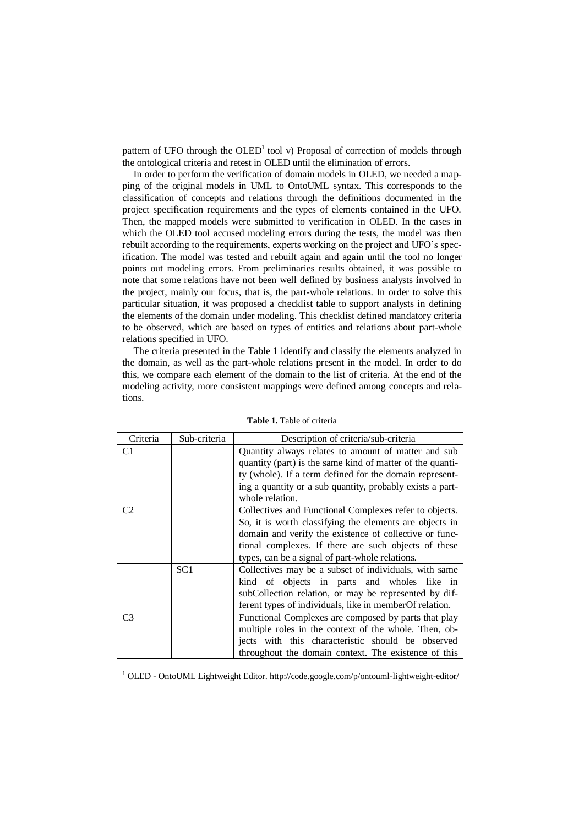pattern of UFO through the  $OLED<sup>1</sup>$  tool v) Proposal of correction of models through the ontological criteria and retest in OLED until the elimination of errors.

In order to perform the verification of domain models in OLED, we needed a mapping of the original models in UML to OntoUML syntax. This corresponds to the classification of concepts and relations through the definitions documented in the project specification requirements and the types of elements contained in the UFO. Then, the mapped models were submitted to verification in OLED. In the cases in which the OLED tool accused modeling errors during the tests, the model was then rebuilt according to the requirements, experts working on the project and UFO's specification. The model was tested and rebuilt again and again until the tool no longer points out modeling errors. From preliminaries results obtained, it was possible to note that some relations have not been well defined by business analysts involved in the project, mainly our focus, that is, the part-whole relations. In order to solve this particular situation, it was proposed a checklist table to support analysts in defining the elements of the domain under modeling. This checklist defined mandatory criteria to be observed, which are based on types of entities and relations about part-whole relations specified in UFO.

The criteria presented in the Table 1 identify and classify the elements analyzed in the domain, as well as the part-whole relations present in the model. In order to do this, we compare each element of the domain to the list of criteria. At the end of the modeling activity, more consistent mappings were defined among concepts and relations.

| Criteria       | Sub-criteria    | Description of criteria/sub-criteria                      |
|----------------|-----------------|-----------------------------------------------------------|
| C1             |                 | Quantity always relates to amount of matter and sub       |
|                |                 | quantity (part) is the same kind of matter of the quanti- |
|                |                 | ty (whole). If a term defined for the domain represent-   |
|                |                 | ing a quantity or a sub quantity, probably exists a part- |
|                |                 | whole relation.                                           |
| C2             |                 | Collectives and Functional Complexes refer to objects.    |
|                |                 | So, it is worth classifying the elements are objects in   |
|                |                 | domain and verify the existence of collective or func-    |
|                |                 | tional complexes. If there are such objects of these      |
|                |                 | types, can be a signal of part-whole relations.           |
|                | SC <sub>1</sub> | Collectives may be a subset of individuals, with same     |
|                |                 | kind of objects in parts and wholes like in               |
|                |                 | subCollection relation, or may be represented by dif-     |
|                |                 | ferent types of individuals, like in member Of relation.  |
| C <sub>3</sub> |                 | Functional Complexes are composed by parts that play      |
|                |                 | multiple roles in the context of the whole. Then, ob-     |
|                |                 | jects with this characteristic should be observed         |
|                |                 | throughout the domain context. The existence of this      |
|                |                 |                                                           |

**Table 1.** Table of criteria

<sup>1</sup> OLED - OntoUML Lightweight Editor. http://code.google.com/p/ontouml-lightweight-editor/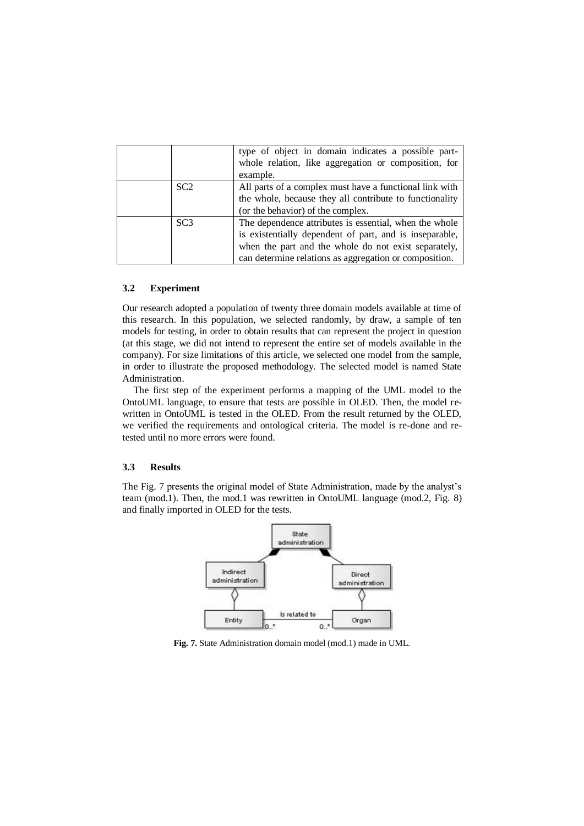|                 | type of object in domain indicates a possible part-<br>whole relation, like aggregation or composition, for |
|-----------------|-------------------------------------------------------------------------------------------------------------|
|                 |                                                                                                             |
|                 | example.                                                                                                    |
| SC <sub>2</sub> | All parts of a complex must have a functional link with                                                     |
|                 | the whole, because they all contribute to functionality                                                     |
|                 | (or the behavior) of the complex.                                                                           |
| SC <sub>3</sub> | The dependence attributes is essential, when the whole                                                      |
|                 | is existentially dependent of part, and is inseparable,                                                     |
|                 | when the part and the whole do not exist separately,                                                        |
|                 | can determine relations as aggregation or composition.                                                      |

### **3.2 Experiment**

Our research adopted a population of twenty three domain models available at time of this research. In this population, we selected randomly, by draw, a sample of ten models for testing, in order to obtain results that can represent the project in question (at this stage, we did not intend to represent the entire set of models available in the company). For size limitations of this article, we selected one model from the sample, in order to illustrate the proposed methodology. The selected model is named State Administration.

The first step of the experiment performs a mapping of the UML model to the OntoUML language, to ensure that tests are possible in OLED. Then, the model rewritten in OntoUML is tested in the OLED. From the result returned by the OLED, we verified the requirements and ontological criteria. The model is re-done and retested until no more errors were found.

## **3.3 Results**

The Fig. 7 presents the original model of State Administration, made by the analyst's team (mod.1). Then, the mod.1 was rewritten in OntoUML language (mod.2, Fig. 8) and finally imported in OLED for the tests.



**Fig. 7.** State Administration domain model (mod.1) made in UML.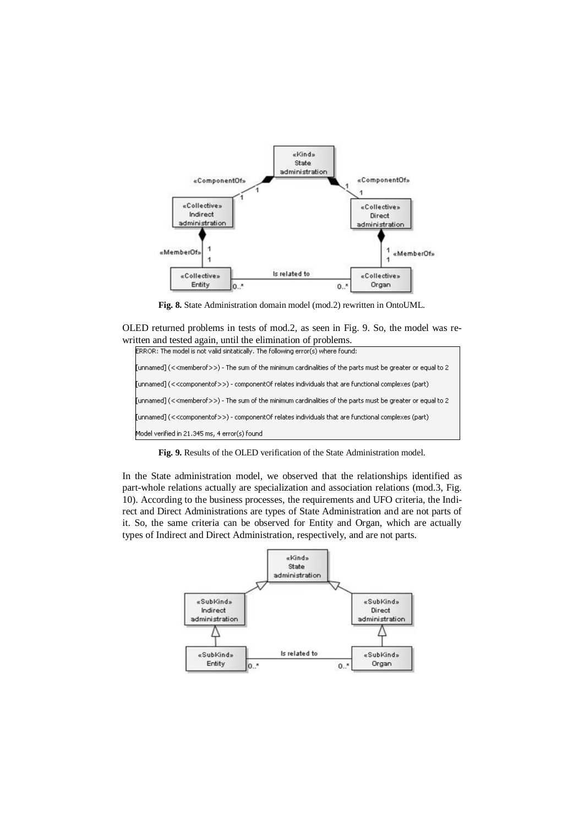

**Fig. 8.** State Administration domain model (mod.2) rewritten in OntoUML.

OLED returned problems in tests of mod.2, as seen in Fig. 9. So, the model was rewritten and tested again, until the elimination of problems.<br>ERROR: The model is not valid sintatically. The following error(s) where found:



**Fig. 9.** Results of the OLED verification of the State Administration model.

In the State administration model, we observed that the relationships identified as part-whole relations actually are specialization and association relations (mod.3, Fig. 10). According to the business processes, the requirements and UFO criteria, the Indirect and Direct Administrations are types of State Administration and are not parts of it. So, the same criteria can be observed for Entity and Organ, which are actually types of Indirect and Direct Administration, respectively, and are not parts.

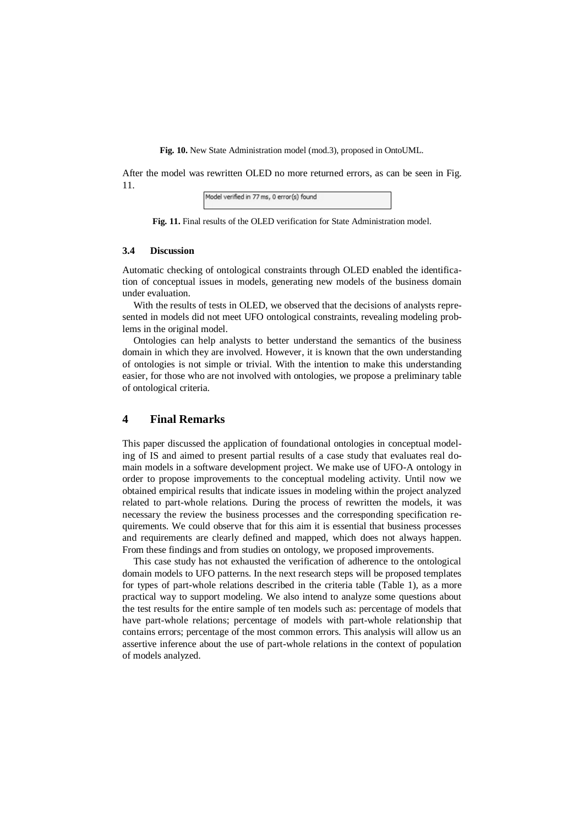**Fig. 10.** New State Administration model (mod.3), proposed in OntoUML.

After the model was rewritten OLED no more returned errors, as can be seen in Fig. 11.

| Model verified in 77 ms, 0 error(s) found |  |
|-------------------------------------------|--|
|-------------------------------------------|--|

**Fig. 11.** Final results of the OLED verification for State Administration model.

#### **3.4 Discussion**

Automatic checking of ontological constraints through OLED enabled the identification of conceptual issues in models, generating new models of the business domain under evaluation.

With the results of tests in OLED, we observed that the decisions of analysts represented in models did not meet UFO ontological constraints, revealing modeling problems in the original model.

Ontologies can help analysts to better understand the semantics of the business domain in which they are involved. However, it is known that the own understanding of ontologies is not simple or trivial. With the intention to make this understanding easier, for those who are not involved with ontologies, we propose a preliminary table of ontological criteria.

## **4 Final Remarks**

This paper discussed the application of foundational ontologies in conceptual modeling of IS and aimed to present partial results of a case study that evaluates real domain models in a software development project. We make use of UFO-A ontology in order to propose improvements to the conceptual modeling activity. Until now we obtained empirical results that indicate issues in modeling within the project analyzed related to part-whole relations. During the process of rewritten the models, it was necessary the review the business processes and the corresponding specification requirements. We could observe that for this aim it is essential that business processes and requirements are clearly defined and mapped, which does not always happen. From these findings and from studies on ontology, we proposed improvements.

This case study has not exhausted the verification of adherence to the ontological domain models to UFO patterns. In the next research steps will be proposed templates for types of part-whole relations described in the criteria table (Table 1), as a more practical way to support modeling. We also intend to analyze some questions about the test results for the entire sample of ten models such as: percentage of models that have part-whole relations; percentage of models with part-whole relationship that contains errors; percentage of the most common errors. This analysis will allow us an assertive inference about the use of part-whole relations in the context of population of models analyzed.